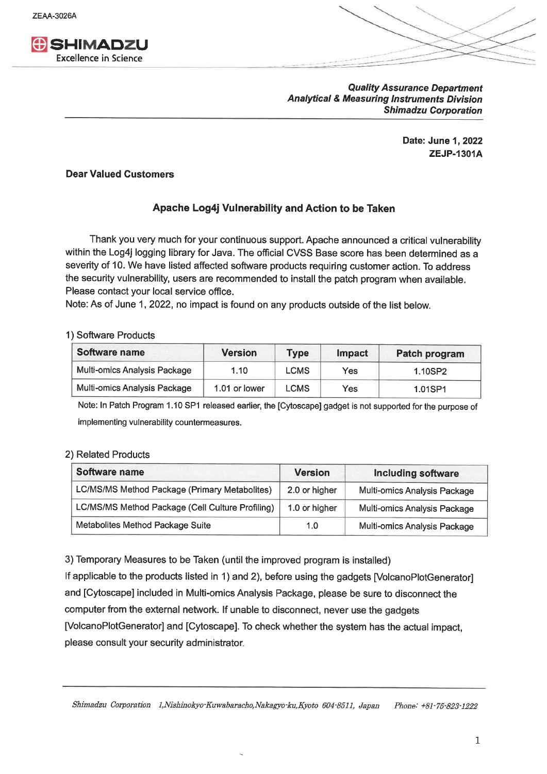**ZEAA-3026A** 



**Quality Assurance Department Analytical & Measuring Instruments Division Shimadzu Corporation** 

> Date: June 1, 2022 **ZEJP-1301A**

## **Dear Valued Customers**

## Apache Log4j Vulnerability and Action to be Taken

Thank you very much for your continuous support. Apache announced a critical vulnerability within the Log4j logging library for Java. The official CVSS Base score has been determined as a severity of 10. We have listed affected software products requiring customer action. To address the security vulnerability, users are recommended to install the patch program when available. Please contact your local service office.

Note: As of June 1, 2022, no impact is found on any products outside of the list below.

## 1) Software Products

| Software name                | <b>Version</b> | <b>Type</b> | Impact | Patch program |
|------------------------------|----------------|-------------|--------|---------------|
| Multi-omics Analysis Package | 1.10           | <b>LCMS</b> | Yes    | 1.10SP2       |
| Multi-omics Analysis Package | 1.01 or lower  | <b>LCMS</b> | Yes    | 1.01SP1       |

Note: In Patch Program 1.10 SP1 released earlier, the [Cytoscape] gadget is not supported for the purpose of implementing vulnerability countermeasures.

## 2) Related Products

| Software name                                    | <b>Version</b> | <b>Including software</b>    |
|--------------------------------------------------|----------------|------------------------------|
| LC/MS/MS Method Package (Primary Metabolites)    | 2.0 or higher  | Multi-omics Analysis Package |
| LC/MS/MS Method Package (Cell Culture Profiling) | 1.0 or higher  | Multi-omics Analysis Package |
| Metabolites Method Package Suite                 | 1.0            | Multi-omics Analysis Package |

3) Temporary Measures to be Taken (until the improved program is installed)

If applicable to the products listed in 1) and 2), before using the gadgets [VolcanoPlotGenerator] and [Cytoscape] included in Multi-omics Analysis Package, please be sure to disconnect the computer from the external network. If unable to disconnect, never use the gadgets [VolcanoPlotGenerator] and [Cytoscape]. To check whether the system has the actual impact, please consult your security administrator.